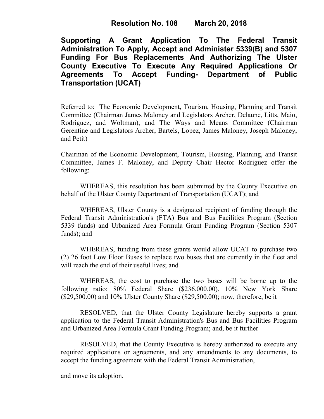# **Resolution No. 108 March 20, 2018**

**Supporting A Grant Application To The Federal Transit Administration To Apply, Accept and Administer 5339(B) and 5307 Funding For Bus Replacements And Authorizing The Ulster County Executive To Execute Any Required Applications Or Agreements To Accept Funding- Department of Public Transportation (UCAT)**

Referred to: The Economic Development, Tourism, Housing, Planning and Transit Committee (Chairman James Maloney and Legislators Archer, Delaune, Litts, Maio, Rodriguez, and Woltman), and The Ways and Means Committee (Chairman Gerentine and Legislators Archer, Bartels, Lopez, James Maloney, Joseph Maloney, and Petit)

Chairman of the Economic Development, Tourism, Housing, Planning, and Transit Committee, James F. Maloney, and Deputy Chair Hector Rodriguez offer the following:

WHEREAS, this resolution has been submitted by the County Executive on behalf of the Ulster County Department of Transportation (UCAT); and

WHEREAS, Ulster County is a designated recipient of funding through the Federal Transit Administration's (FTA) Bus and Bus Facilities Program (Section 5339 funds) and Urbanized Area Formula Grant Funding Program (Section 5307 funds); and

WHEREAS, funding from these grants would allow UCAT to purchase two (2) 26 foot Low Floor Buses to replace two buses that are currently in the fleet and will reach the end of their useful lives; and

WHEREAS, the cost to purchase the two buses will be borne up to the following ratio: 80% Federal Share (\$236,000.00), 10% New York Share (\$29,500.00) and 10% Ulster County Share (\$29,500.00); now, therefore, be it

RESOLVED, that the Ulster County Legislature hereby supports a grant application to the Federal Transit Administration's Bus and Bus Facilities Program and Urbanized Area Formula Grant Funding Program; and, be it further

RESOLVED, that the County Executive is hereby authorized to execute any required applications or agreements, and any amendments to any documents, to accept the funding agreement with the Federal Transit Administration,

and move its adoption.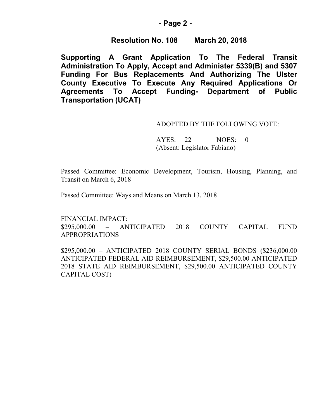## **- Page 2 -**

## **Resolution No. 108 March 20, 2018**

**Supporting A Grant Application To The Federal Transit Administration To Apply, Accept and Administer 5339(B) and 5307 Funding For Bus Replacements And Authorizing The Ulster County Executive To Execute Any Required Applications Or Agreements To Accept Funding- Department of Public Transportation (UCAT)**

#### ADOPTED BY THE FOLLOWING VOTE:

AYES: 22 NOES: 0 (Absent: Legislator Fabiano)

Passed Committee: Economic Development, Tourism, Housing, Planning, and Transit on March 6, 2018

Passed Committee: Ways and Means on March 13, 2018

FINANCIAL IMPACT: \$295,000.00 – ANTICIPATED 2018 COUNTY CAPITAL FUND APPROPRIATIONS

\$295,000.00 – ANTICIPATED 2018 COUNTY SERIAL BONDS (\$236,000.00 ANTICIPATED FEDERAL AID REIMBURSEMENT, \$29,500.00 ANTICIPATED 2018 STATE AID REIMBURSEMENT, \$29,500.00 ANTICIPATED COUNTY CAPITAL COST)